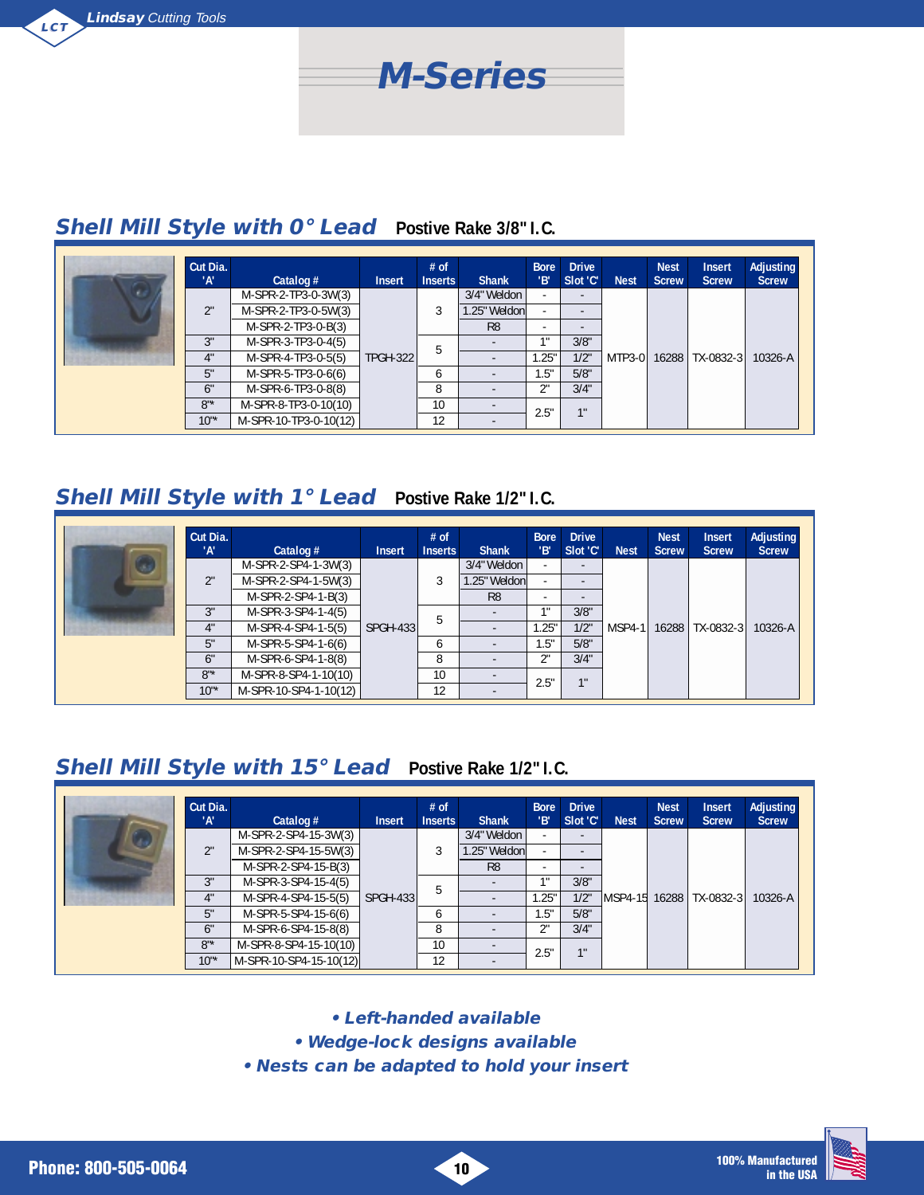

#### **Shell Mill Style with 0° Lead Postive Rake 3/8" I.C.**

| Cut Dia.<br>'А' | Catalog $#$           | <b>Insert</b>   | $#$ of<br><b>Inserts</b> | <b>Shank</b>   | <b>Bore</b><br>'В'       | <b>Drive</b><br>Slot 'C' | <b>Nest</b> | <b>Nest</b><br><b>Screw</b> | <b>Insert</b><br><b>Screw</b> | <b>Adjusting</b><br><b>Screw</b> |
|-----------------|-----------------------|-----------------|--------------------------|----------------|--------------------------|--------------------------|-------------|-----------------------------|-------------------------------|----------------------------------|
|                 | M-SPR-2-TP3-0-3W(3)   |                 |                          | 3/4" Weldon    | $\overline{\phantom{a}}$ | $\overline{\phantom{0}}$ |             |                             |                               |                                  |
| ገ"              | M-SPR-2-TP3-0-5W(3)   |                 |                          | l.25" Weldonl  | $\overline{\phantom{a}}$ |                          |             |                             |                               |                                  |
|                 | M-SPR-2-TP3-0-B(3)    |                 |                          | R <sub>8</sub> | $\overline{\phantom{0}}$ |                          |             |                             |                               |                                  |
| 3"              | M-SPR-3-TP3-0-4(5)    |                 |                          |                | 18                       | 3/8"                     |             |                             |                               |                                  |
| 4"              | M-SPR-4-TP3-0-5(5)    | <b>TPGH-322</b> | 5                        |                | .25"                     | 1/2"                     | MTP3-0      |                             | 16288 TX-0832-3               | 10326-A                          |
| 5"              | M-SPR-5-TP3-0-6(6)    |                 | h                        |                | . 5"                     | 5/8"                     |             |                             |                               |                                  |
| 6"              | M-SPR-6-TP3-0-8(8)    |                 | 8                        |                | 2"                       | 3/4"                     |             |                             |                               |                                  |
| $8"$ *          | M-SPR-8-TP3-0-10(10)  |                 | 10                       |                | 2.5"                     | 1"                       |             |                             |                               |                                  |
| $10^{1*}$       | M-SPR-10-TP3-0-10(12) |                 | 12                       |                |                          |                          |             |                             |                               |                                  |

#### **Shell Mill Style with 1° Lead Postive Rake 1/2" I.C.**

| Cut Dia.<br>'А' | Catalog $#$           | <b>Insert</b> | $#$ of<br><b>Inserts</b> | <b>Shank</b>   | <b>Bore</b><br>l'B'      | <b>Drive</b><br>Slot 'C' | <b>Nest</b> | <b>Nest</b><br><b>Screw</b> | <b>Insert</b><br><b>Screw</b> | Adjusting<br><b>Screw</b> |
|-----------------|-----------------------|---------------|--------------------------|----------------|--------------------------|--------------------------|-------------|-----------------------------|-------------------------------|---------------------------|
|                 | M-SPR-2-SP4-1-3W(3)   |               |                          | 3/4" Weldon    | $\overline{\phantom{a}}$ | $-$                      |             |                             |                               |                           |
| 2"              | M-SPR-2-SP4-1-5W(3)   |               |                          | 1.25" Weldonl  | $\overline{\phantom{a}}$ | -                        |             |                             |                               |                           |
|                 | M-SPR-2-SP4-1-B(3)    |               |                          | R <sub>8</sub> | ۰                        | ٠.                       |             |                             |                               |                           |
| 3"              | M-SPR-3-SP4-1-4(5)    |               |                          |                | 1"                       | 3/8"                     |             |                             |                               |                           |
| 4"              | M-SPR-4-SP4-1-5(5)    | SPGH-433      | 5                        |                | .25"                     | 1/2"                     |             |                             | MSP4-1   16288   TX-0832-3    | 10326-A                   |
| 5"              | M-SPR-5-SP4-1-6(6)    |               | <sub>6</sub>             |                | 1.5"                     | 5/8"                     |             |                             |                               |                           |
| 6"              | M-SPR-6-SP4-1-8(8)    |               | 8                        |                | 2"                       | 3/4"                     |             |                             |                               |                           |
| $8"$ *          | M-SPR-8-SP4-1-10(10)  |               | 10                       |                | 2.5"                     | 1 <sup>11</sup>          |             |                             |                               |                           |
| $10^{1*}$       | M-SPR-10-SP4-1-10(12) |               | 12                       |                |                          |                          |             |                             |                               |                           |

### **Shell Mill Style with 15° Lead Postive Rake 1/2" I.C.**

| Cut Dia.<br>'А' | Catalog $#$            | <b>Insert</b>   | $#$ of<br><b>Inserts</b> | <b>Shank</b>   | <b>Bore</b><br>'В'       | <b>Drive</b><br>Slot 'C' | <b>Nest</b> | <b>Nest</b><br><b>Screw</b> | <b>Insert</b><br><b>Screw</b> | <b>Adjusting</b><br><b>Screw</b> |  |
|-----------------|------------------------|-----------------|--------------------------|----------------|--------------------------|--------------------------|-------------|-----------------------------|-------------------------------|----------------------------------|--|
|                 | M-SPR-2-SP4-15-3W(3)   |                 |                          | 3/4" Weldon    | ۰                        |                          |             |                             |                               |                                  |  |
| 2"              | M-SPR-2-SP4-15-5W(3)   |                 |                          | .25" Weldonl   |                          |                          |             |                             |                               |                                  |  |
|                 | M-SPR-2-SP4-15-B(3)    |                 |                          | R <sub>8</sub> | $\overline{\phantom{0}}$ |                          |             |                             |                               |                                  |  |
| 3"              | M-SPR-3-SP4-15-4(5)    |                 |                          | b              |                          | -18                      | 3/8"        |                             |                               |                                  |  |
| 4"              | M-SPR-4-SP4-15-5(5)    | <b>SPGH-433</b> |                          |                | .25"                     | 1/2"                     |             |                             | MSP4-15 16288 TX-0832-3       | 10326-A                          |  |
| 5"              | M-SPR-5-SP4-15-6(6)    |                 | <sub>6</sub>             |                | 1.5"                     | 5/8"                     |             |                             |                               |                                  |  |
| 6"              | M-SPR-6-SP4-15-8(8)    |                 | 8                        |                | 2"                       | 3/4"                     |             |                             |                               |                                  |  |
| $8"$ *          | M-SPR-8-SP4-15-10(10)  |                 | 10                       |                |                          | 11                       |             |                             |                               |                                  |  |
| $10"$ *         | M-SPR-10-SP4-15-10(12) |                 | 12                       |                |                          | 2.5"                     |             |                             |                               |                                  |  |

**• Left-handed available**

**• Wedge-lock designs available**

**• Nests can be adapted to hold your insert**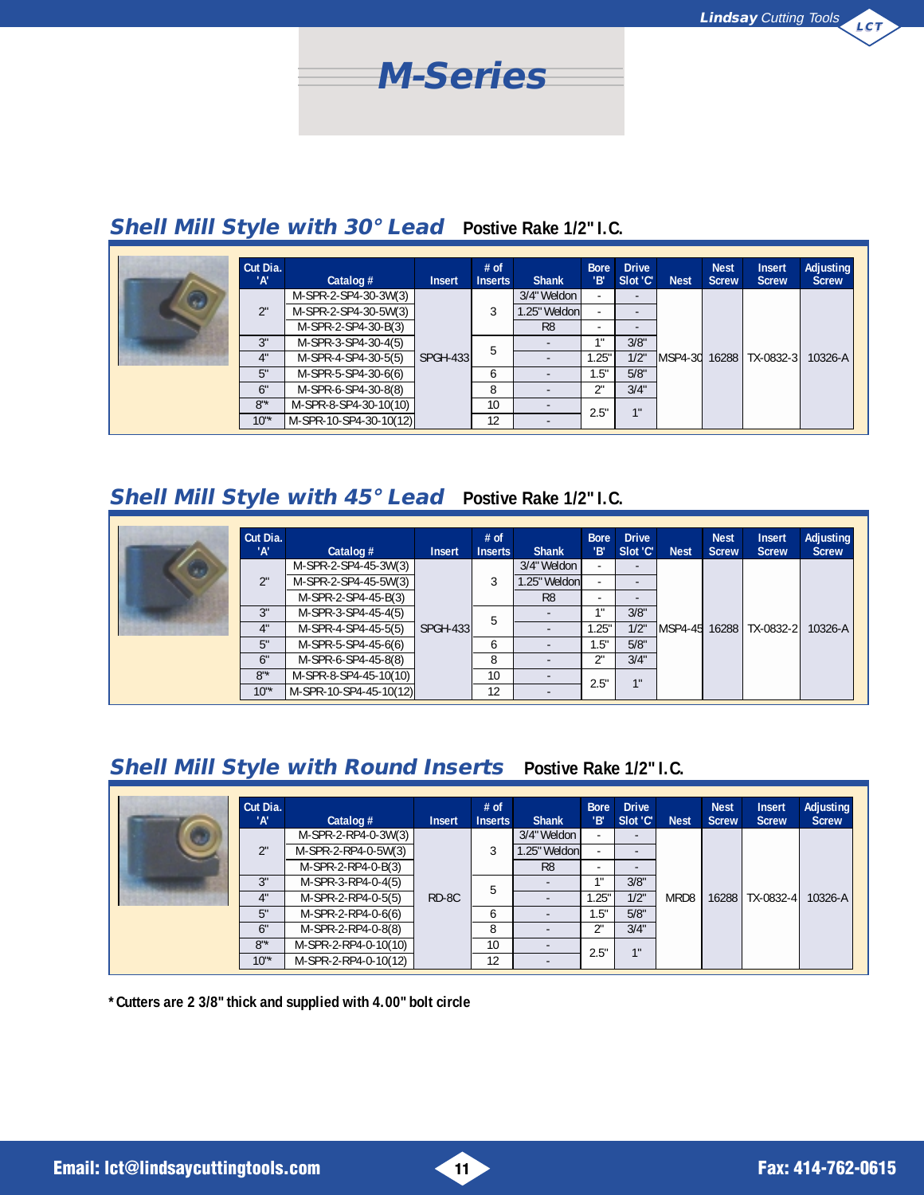

# **Shell Mill Style with 30° Lead Postive Rake 1/2" I.C.**

|   | Cut Dia.<br>'А' | Catalog $#$            | <b>Insert</b>    | $#$ of<br><b>Inserts</b> | <b>Shank</b>   | <b>Bore</b><br>'В'       | <b>Drive</b><br>Slot 'C' | <b>Nest</b>               | <b>Nest</b><br><b>Screw</b> | <b>Insert</b><br><b>Screw</b> | Adjusting<br><b>Screw</b> |  |
|---|-----------------|------------------------|------------------|--------------------------|----------------|--------------------------|--------------------------|---------------------------|-----------------------------|-------------------------------|---------------------------|--|
| a |                 | M-SPR-2-SP4-30-3W(3)   |                  |                          | 3/4" Weldon    | $\overline{\phantom{a}}$ | $\overline{a}$           |                           |                             |                               |                           |  |
|   | 2"              | M-SPR-2-SP4-30-5W(3)   |                  |                          | 1.25" Weldonl  | $\overline{\phantom{a}}$ |                          |                           |                             |                               |                           |  |
|   |                 | M-SPR-2-SP4-30-B(3)    |                  |                          | R <sub>8</sub> | $\overline{\phantom{a}}$ |                          |                           |                             |                               |                           |  |
|   | 3"              | M-SPR-3-SP4-30-4(5)    |                  |                          |                |                          |                          | 3/8"                      |                             |                               |                           |  |
|   | 4"              | M-SPR-4-SP4-30-5(5)    | <b>SPGH-4331</b> | .5                       |                | 1.25"                    | 1/2"                     | MSP4-30 16288   TX-0832-3 |                             | $10326 - A$                   |                           |  |
|   | 5"              | M-SPR-5-SP4-30-6(6)    |                  |                          | 6              | ٠                        | 1.5"                     | 5/8"                      |                             |                               |                           |  |
|   | 6"              | M-SPR-6-SP4-30-8(8)    |                  | 8                        |                | 2"                       | 3/4"                     |                           |                             |                               |                           |  |
|   | $8"$ *          | M-SPR-8-SP4-30-10(10)  |                  | 10                       |                |                          | 1"                       |                           |                             |                               |                           |  |
|   | $10^{1*}$       | M-SPR-10-SP4-30-10(12) |                  | 12                       |                | 2.5"                     |                          |                           |                             |                               |                           |  |

#### **Shell Mill Style with 45° Lead Postive Rake 1/2" I.C.**

| Cut Dia.<br>'А'              | Catalog $#$            | <b>Insert</b> | $#$ of<br><b>Inserts</b> | <b>Shank</b>   | <b>Bore</b><br>'В'       | <b>Drive</b><br>Slot 'C' | <b>Nest</b> | <b>Nest</b><br><b>Screw</b> | <b>Insert</b><br><b>Screw</b> | <b>Adjusting</b><br><b>Screw</b> |
|------------------------------|------------------------|---------------|--------------------------|----------------|--------------------------|--------------------------|-------------|-----------------------------|-------------------------------|----------------------------------|
|                              | M-SPR-2-SP4-45-3W(3)   |               |                          | 3/4" Weldon    | $\overline{\phantom{a}}$ | $\overline{\phantom{a}}$ |             |                             |                               |                                  |
| $\mathcal{D}^{\mathfrak{m}}$ | M-SPR-2-SP4-45-5W(3)   |               |                          | .25" Weldonl   | $\overline{\phantom{a}}$ |                          |             |                             |                               |                                  |
|                              | M-SPR-2-SP4-45-B(3)    |               |                          | R <sub>8</sub> | $\overline{\phantom{a}}$ | ٠.                       |             |                             |                               |                                  |
| 3"                           | M-SPR-3-SP4-45-4(5)    |               | 5                        |                | 11                       | 3/8"                     |             |                             |                               |                                  |
| 4"                           | M-SPR-4-SP4-45-5(5)    | SPGH-433      |                          |                | .25"                     | 1/2"                     |             |                             | MSP4-45 16288 TX-0832-2       | 10326-A                          |
| 5"                           | M-SPR-5-SP4-45-6(6)    |               | <sub>6</sub>             |                | 1.5"                     | 5/8"                     |             |                             |                               |                                  |
| 6"                           | M-SPR-6-SP4-45-8(8)    |               | 8                        |                | 2"                       | 3/4"                     |             |                             |                               |                                  |
| $8"$ *                       | M-SPR-8-SP4-45-10(10)  |               | 10                       |                | 2.5"                     | 1 <sup>ii</sup>          |             |                             |                               |                                  |
| $10^{1*}$                    | M-SPR-10-SP4-45-10(12) |               | 12                       |                |                          |                          |             |                             |                               |                                  |

## **Shell Mill Style with Round Inserts Postive Rake 1/2" I.C.**

| Cut Dia.<br>'А'            | Catalog $#$          | <b>Insert</b> | $#$ of<br><b>Inserts</b> | <b>Shank</b>             | <b>Bore</b><br>'В'       | <b>Drive</b><br>Slot 'C' | <b>Nest</b> | <b>Nest</b><br><b>Screw</b> | <b>Insert</b><br><b>Screw</b> | Adjusting<br><b>Screw</b> |
|----------------------------|----------------------|---------------|--------------------------|--------------------------|--------------------------|--------------------------|-------------|-----------------------------|-------------------------------|---------------------------|
|                            | M-SPR-2-RP4-0-3W(3)  |               |                          | 3/4" Weldon              | $\overline{\phantom{a}}$ | $\overline{\phantom{a}}$ |             |                             |                               |                           |
| $\mathcal{D}^{\mathbf{H}}$ | M-SPR-2-RP4-0-5W(3)  |               |                          | .25" Weldon              | $\overline{\phantom{a}}$ | $\overline{a}$           |             |                             |                               |                           |
|                            | M-SPR-2-RP4-0-B(3)   |               |                          | R <sub>8</sub>           | $\overline{\phantom{0}}$ | $\overline{\phantom{a}}$ |             |                             |                               |                           |
| 3"                         | M-SPR-3-RP4-0-4(5)   |               | 5                        |                          | 4.8                      | 3/8"                     |             |                             |                               |                           |
| 4"                         | M-SPR-2-RP4-0-5(5)   | RD-8C         |                          | $\overline{\phantom{0}}$ | .25"                     | 1/2"                     | MRD8        | 16288                       | TX-0832-4                     | 10326-A                   |
| 5"                         | M-SPR-2-RP4-0-6(6)   |               | <sub>6</sub>             | $\overline{\phantom{0}}$ | 1.5"                     | 5/8"                     |             |                             |                               |                           |
| 6"                         | M-SPR-2-RP4-0-8(8)   |               | 8                        |                          | 2"                       | 3/4"                     |             |                             |                               |                           |
| $8"$ *                     | M-SPR-2-RP4-0-10(10) |               | 10                       |                          |                          | 1"                       |             |                             |                               |                           |
| $10^{4*}$                  | M-SPR-2-RP4-0-10(12) |               | 12                       |                          | 2.5"                     |                          |             |                             |                               |                           |

**\*Cutters are 2 3/8" thick and supplied with 4.00" bolt circle**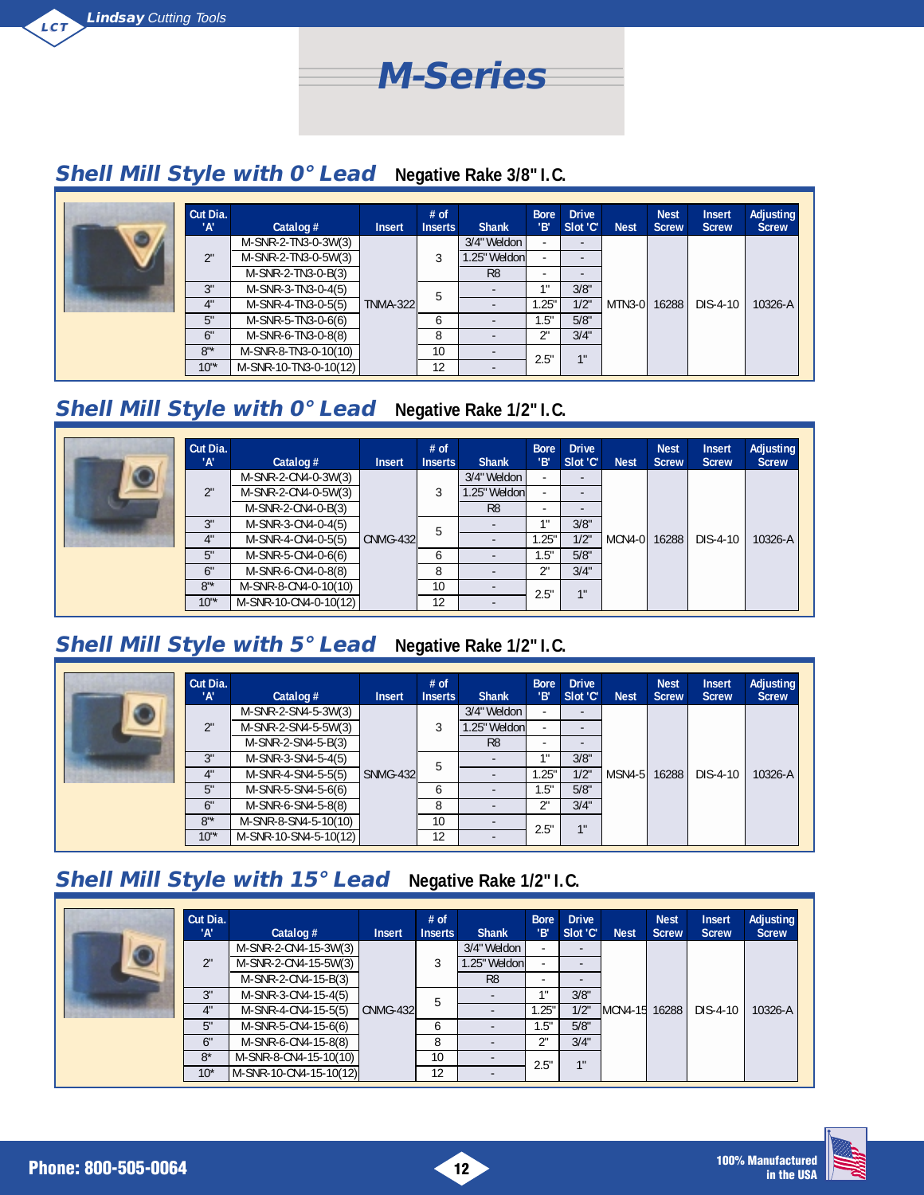

### **Shell Mill Style with 0° Lead Negative Rake 3/8" I.C.**

| Cut Dia.<br>'A' | Catalog $#$           | <b>Insert</b>   | $#$ of<br><b>Inserts</b> | <b>Shank</b>   | <b>Bore</b><br>'В'       | <b>Drive</b><br>Slot 'C' | <b>Nest</b>  | <b>Nest</b><br><b>Screw</b> | <b>Insert</b><br><b>Screw</b> | <b>Adjusting</b><br><b>Screw</b> |
|-----------------|-----------------------|-----------------|--------------------------|----------------|--------------------------|--------------------------|--------------|-----------------------------|-------------------------------|----------------------------------|
|                 | M-SNR-2-TN3-0-3W(3)   |                 |                          | 3/4" Weldon    | $\sim$                   | $\overline{\phantom{a}}$ |              |                             |                               |                                  |
| 2"              | M-SNR-2-TN3-0-5W(3)   |                 |                          | .25" Weldonl   | $\overline{\phantom{a}}$ |                          |              |                             |                               |                                  |
|                 | M-SNR-2-TN3-0-B(3)    |                 |                          | R <sub>8</sub> | $\overline{a}$           |                          |              |                             |                               |                                  |
| 3"              | M-SNR-3-TN3-0-4(5)    |                 | 5                        |                | -1.8                     | 3/8"                     |              |                             |                               |                                  |
| 4"              | M-SNR-4-TN3-0-5(5)    | <b>TNMA-322</b> |                          |                | .25"                     | 1/2"                     | MTN3-0 16288 |                             | DIS-4-10                      | 10326-A                          |
| 5"              | M-SNR-5-TN3-0-6(6)    |                 | <sub>b</sub>             |                | 1.5"                     | 5/8"                     |              |                             |                               |                                  |
| 6"              | M-SNR-6-TN3-0-8(8)    |                 | 8                        |                | 2"                       | 3/4"                     |              |                             |                               |                                  |
| $8"$ *          | M-SNR-8-TN3-0-10(10)  |                 | 10                       |                | 2.5"                     | 11                       |              |                             |                               |                                  |
| $10^{1*}$       | M-SNR-10-TN3-0-10(12) |                 | 12                       |                |                          |                          |              |                             |                               |                                  |

# **Shell Mill Style with 0° Lead Negative Rake 1/2" I.C.**

|           | Cut Dia.<br>'A' | Catalog $#$           | <b>Insert</b> | $#$ of<br><b>Inserts</b> | <b>Shank</b>   | <b>Bore</b><br>'B'       | <b>Drive</b><br>Slot 'C' | <b>Nest</b>  | <b>Nest</b><br><b>Screw</b> | <b>Insert</b><br><b>Screw</b> | <b>Adjusting</b><br><b>Screw</b> |
|-----------|-----------------|-----------------------|---------------|--------------------------|----------------|--------------------------|--------------------------|--------------|-----------------------------|-------------------------------|----------------------------------|
| $\bullet$ |                 | M-SNR-2-CN4-0-3W(3)   |               |                          | 3/4" Weldon    | $\overline{\phantom{a}}$ | $\overline{\phantom{a}}$ |              |                             |                               |                                  |
|           | 2"              | M-SNR-2-CN4-0-5W(3)   |               |                          | .25" Weldonl   | $\overline{\phantom{a}}$ |                          |              |                             |                               |                                  |
|           |                 | M-SNR-2-CN4-0-B(3)    |               |                          | R <sub>8</sub> | ٠                        |                          |              |                             |                               |                                  |
|           | ?"              | M-SNR-3-CN4-0-4(5)    |               | 5                        |                | 4.8                      | 3/8"                     |              |                             |                               |                                  |
|           | 4"              | M-SNR-4-CN4-0-5(5)    | CNMG-432      |                          |                | 1.25"                    | 1/2"                     | MCN4-0 16288 |                             | DIS-4-10                      | $10326 - A$                      |
|           | 5"              | M-SNR-5-CN4-0-6(6)    |               | <sub>6</sub>             |                | .5"                      | 5/8"                     |              |                             |                               |                                  |
|           | 6"              | M-SNR-6-CN4-0-8(8)    |               | 8                        |                | ገ"                       | 3/4"                     |              |                             |                               |                                  |
|           | $8"$ *          | M-SNR-8-CN4-0-10(10)  |               | 10 <sup>°</sup>          |                | 2.5"                     | 11                       |              |                             |                               |                                  |
|           | $10"$ *         | M-SNR-10-CN4-0-10(12) |               | 12                       | ۰              |                          |                          |              |                             |                               |                                  |

## **Shell Mill Style with 5° Lead Negative Rake 1/2" I.C.**

| Cut Dia.<br>''A' | Catalog $#$           | <b>Insert</b>   | $#$ of<br><b>Inserts</b> | <b>Shank</b>   | <b>Bore</b><br>'В'       | <b>Drive</b><br>Slot 'C' | <b>Nest</b>  | <b>Nest</b><br><b>Screw</b> | <b>Insert</b><br><b>Screw</b> | <b>Adjusting</b><br><b>Screw</b> |
|------------------|-----------------------|-----------------|--------------------------|----------------|--------------------------|--------------------------|--------------|-----------------------------|-------------------------------|----------------------------------|
|                  | M-SNR-2-SN4-5-3W(3)   |                 |                          | 3/4" Weldon    |                          | $\overline{\phantom{a}}$ |              |                             |                               |                                  |
| 2"               | M-SNR-2-SN4-5-5W(3)   |                 |                          | 1.25" Weldonl  | ۰                        |                          |              |                             |                               |                                  |
|                  | M-SNR-2-SN4-5-B(3)    |                 |                          | R <sub>8</sub> | $\overline{\phantom{0}}$ |                          |              |                             |                               |                                  |
| 3"               | M-SNR-3-SN4-5-4(5)    |                 |                          |                | 11                       | 3/8"                     |              |                             |                               |                                  |
| 4"               | M-SNR-4-SN4-5-5(5)    | <b>SNMG-432</b> | 5                        |                | .25"                     | 1/2"                     | MSN4-5 16288 |                             | DIS-4-10                      | 10326-A                          |
| 5"               | M-SNR-5-SN4-5-6(6)    |                 | <sub>6</sub>             |                | 1.5"                     | 5/8"                     |              |                             |                               |                                  |
| 6"               | M-SNR-6-SN4-5-8(8)    |                 | 8                        |                | 2"                       | 3/4"                     |              |                             |                               |                                  |
| $8"$ *           | M-SNR-8-SN4-5-10(10)  |                 | 10                       |                | 2.5"                     | 11                       |              |                             |                               |                                  |
| $10^{1*}$        | M-SNR-10-SN4-5-10(12) |                 | 12                       |                |                          |                          |              |                             |                               |                                  |

# **Shell Mill Style with 15° Lead Negative Rake 1/2" I.C.**

| Cut Dia.<br>'А' | Catalog $#$            | <b>Insert</b> | $#$ of<br><b>Inserts</b> | <b>Shank</b>   | <b>Bore</b><br>'В'       | <b>Drive</b><br>Slot 'C' | <b>Nest</b>   | <b>Nest</b><br><b>Screw</b> | <b>Insert</b><br><b>Screw</b> | Adjusting<br><b>Screw</b> |  |
|-----------------|------------------------|---------------|--------------------------|----------------|--------------------------|--------------------------|---------------|-----------------------------|-------------------------------|---------------------------|--|
|                 | M-SNR-2-CN4-15-3W(3)   |               |                          | 3/4" Weldon    | $\overline{\phantom{0}}$ |                          |               |                             |                               |                           |  |
| 2"              | M-SNR-2-CN4-15-5W(3)   |               |                          | l.25" Weldonl  | $\overline{\phantom{a}}$ |                          |               |                             |                               |                           |  |
|                 | M-SNR-2-CN4-15-B(3)    |               |                          |                | R <sub>8</sub>           | $\overline{\phantom{0}}$ |               |                             |                               |                           |  |
| 3"              | M-SNR-3-CN4-15-4(5)    | $CMMG-432$    |                          |                |                          | -1.8                     | 3/8"          |                             |                               |                           |  |
| 4"              | M-SNR-4-CN4-15-5(5)    |               | 5                        |                | .25"                     | 1/2"                     | MCN4-15 16288 |                             | DIS-4-10                      | $10326 - A$               |  |
| 5"              | M-SNR-5-CN4-15-6(6)    |               | 6                        |                | .5"                      | 5/8"                     |               |                             |                               |                           |  |
| 6"              | M-SNR-6-CN4-15-8(8)    |               | 8                        | $\overline{a}$ | 2"                       | 3/4"                     |               |                             |                               |                           |  |
| $8*$            | M-SNR-8-CN4-15-10(10)  |               | 10                       | $\overline{a}$ | 2.5"                     | 11                       |               |                             |                               |                           |  |
| $10*$           | M-SNR-10-CN4-15-10(12) |               | 12                       |                |                          |                          |               |                             |                               |                           |  |

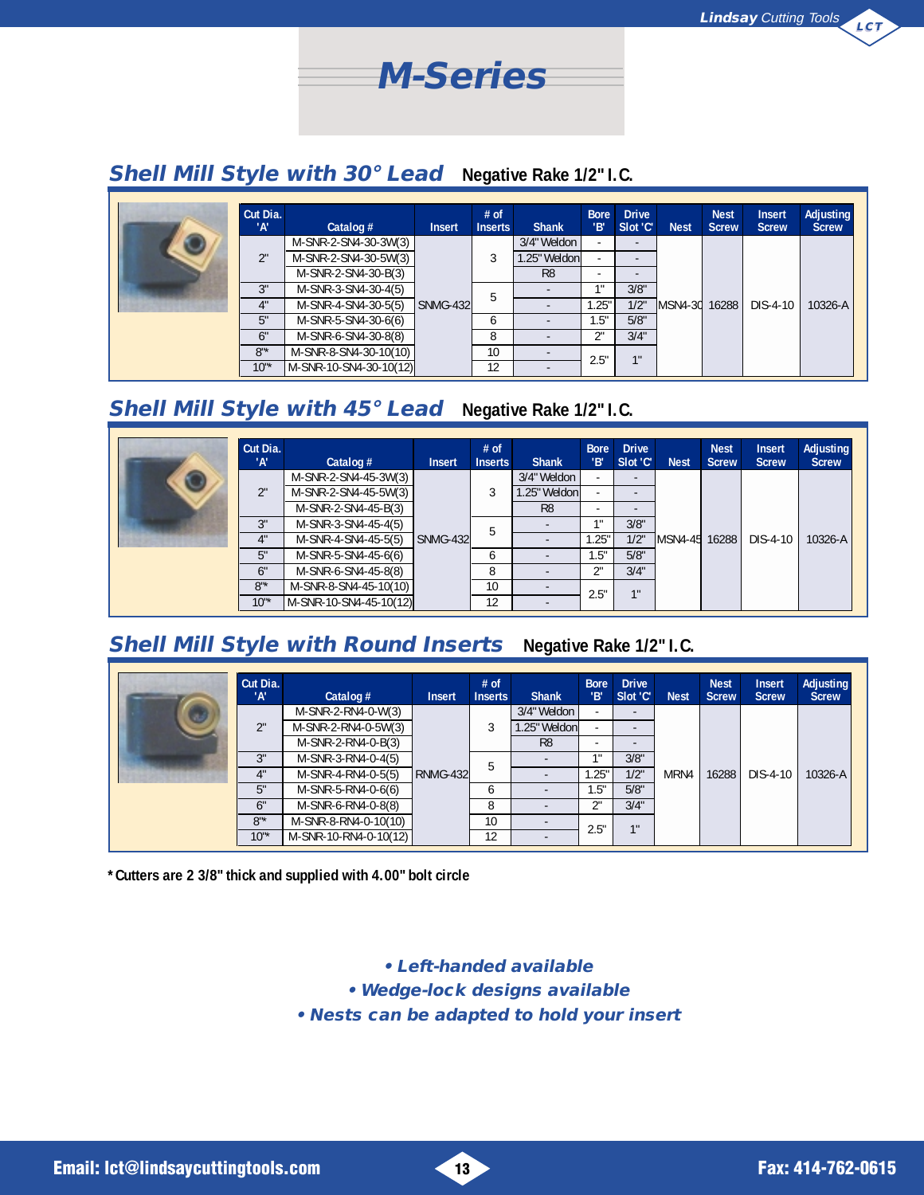

#### **Shell Mill Style with 30° Lead Negative Rake 1/2" I.C.**

| Cut Dia.<br>'А' | Catalog #              | <b>Insert</b> | $#$ of<br><b>Inserts</b> | <b>Shank</b>   | <b>Bore</b><br>'В' | <b>Drive</b><br>Slot 'C' | <b>Nest</b>   | <b>Nest</b><br><b>Screw</b> | <b>Insert</b><br><b>Screw</b> | Adjusting<br><b>Screw</b> |  |
|-----------------|------------------------|---------------|--------------------------|----------------|--------------------|--------------------------|---------------|-----------------------------|-------------------------------|---------------------------|--|
|                 | M-SNR-2-SN4-30-3W(3)   |               |                          | 3/4" Weldon    |                    | $\overline{a}$           |               |                             |                               |                           |  |
| 2"              | M-SNR-2-SN4-30-5W(3)   |               |                          | 1.25" Weldonl  |                    | $\overline{a}$           |               |                             |                               |                           |  |
|                 | M-SNR-2-SN4-30-B(3)    |               |                          | R <sub>8</sub> | ٠                  | $\overline{a}$           |               |                             |                               |                           |  |
| 3"              | M-SNR-3-SN4-30-4(5)    | SNMG-432      |                          | 5              |                    | 4H                       | 3/8"          |                             |                               |                           |  |
| 4"              | M-SNR-4-SN4-30-5(5)    |               |                          |                | 1.25"              | $1/2$ "                  | MSN4-30 16288 |                             | DIS-4-10                      | 10326-A                   |  |
| 5"              | M-SNR-5-SN4-30-6(6)    |               | 6                        | ٠              | 1.5"               | 5/8"                     |               |                             |                               |                           |  |
| 6"              | M-SNR-6-SN4-30-8(8)    |               | 8                        |                | 2"                 | 3/4"                     |               |                             |                               |                           |  |
| $8"$ *          | M-SNR-8-SN4-30-10(10)  |               | 10                       |                | 2.5"               | 1"                       |               |                             |                               |                           |  |
| $10^{1*}$       | M-SNR-10-SN4-30-10(12) |               | 12                       |                |                    |                          |               |                             |                               |                           |  |

## **Shell Mill Style with 45° Lead Negative Rake 1/2" I.C.**

| Cut Dia.<br>'А' | Catalog $#$            | <b>Insert</b>   | $#$ of<br><b>Inserts</b> | <b>Shank</b>   | <b>Bore</b><br>'В'       | <b>Drive</b><br>Slot 'C' | <b>Nest</b>   | <b>Nest</b><br><b>Screw</b> | <b>Insert</b><br><b>Screw</b> | <b>Adjusting</b><br><b>Screw</b> |
|-----------------|------------------------|-----------------|--------------------------|----------------|--------------------------|--------------------------|---------------|-----------------------------|-------------------------------|----------------------------------|
|                 | M-SNR-2-SN4-45-3W(3)   |                 |                          | 3/4" Weldon    | $\overline{\phantom{a}}$ |                          |               |                             |                               |                                  |
| 2"              | M-SNR-2-SN4-45-5W(3)   |                 |                          | 1.25" Weldonl  | $\overline{\phantom{a}}$ | $\overline{\phantom{a}}$ |               |                             |                               |                                  |
|                 | M-SNR-2-SN4-45-B(3)    |                 |                          | R <sub>8</sub> | $\overline{\phantom{a}}$ | $\overline{\phantom{a}}$ |               |                             |                               |                                  |
| 3"              | M-SNR-3-SN4-45-4(5)    |                 |                          |                | -111                     | 3/8"                     |               |                             |                               |                                  |
| 4"              | M-SNR-4-SN4-45-5(5)    | <b>SNMG-432</b> | 5                        |                | .25"                     | 1/2"                     | MSN4-45 16288 |                             | DIS-4-10                      | 10326-A                          |
| 5"              | M-SNR-5-SN4-45-6(6)    |                 | 6                        |                | .5"                      | 5/8"                     |               |                             |                               |                                  |
| 6"              | M-SNR-6-SN4-45-8(8)    |                 | 8                        |                | 2"                       | 3/4"                     |               |                             |                               |                                  |
| $8"$ *          | M-SNR-8-SN4-45-10(10)  |                 | 10                       |                | 2.5"                     | 1"                       |               |                             |                               |                                  |
| $10^{1*}$       | M-SNR-10-SN4-45-10(12) |                 | 12                       |                |                          |                          |               |                             |                               |                                  |

## **Shell Mill Style with Round Inserts Negative Rake 1/2" I.C.**

| Cut Dia.<br>'А' | Catalog $#$           | <b>Insert</b> | $#$ of<br><b>Inserts</b> | <b>Shank</b>   | <b>Bore</b><br>'В'       | <b>Drive</b><br>Slot 'C' | <b>Nest</b> | <b>Nest</b><br><b>Screw</b> | <b>Insert</b><br><b>Screw</b> | <b>Adjusting</b><br><b>Screw</b> |
|-----------------|-----------------------|---------------|--------------------------|----------------|--------------------------|--------------------------|-------------|-----------------------------|-------------------------------|----------------------------------|
|                 | $M-SNR-2-RN4-0-W(3)$  |               | 3<br>5                   | 3/4" Weldon    | $\overline{\phantom{a}}$ | $\overline{a}$           |             |                             | DIS-4-10                      |                                  |
| 2"              | M-SNR-2-RN4-0-5W(3)   | RNMG-432      |                          | 1.25" Weldonl  | $\overline{\phantom{a}}$ | $\overline{a}$           | MRN4        | 16288                       |                               | 10326-A                          |
|                 | $M-SNR-2-RN4-0-B(3)$  |               |                          | R <sub>8</sub> | $\overline{\phantom{0}}$ |                          |             |                             |                               |                                  |
| 3"              | M-SNR-3-RN4-0-4(5)    |               |                          |                | 1 !!                     | 3/8"                     |             |                             |                               |                                  |
| 4"              | M-SNR-4-RN4-0-5(5)    |               |                          |                | .25"                     | 1/2"                     |             |                             |                               |                                  |
| 5"              | M-SNR-5-RN4-0-6(6)    |               | <sub>6</sub>             |                | 1.5"                     | 5/8"                     |             |                             |                               |                                  |
| 6"              | M-SNR-6-RN4-0-8(8)    |               | 8                        |                | 2"                       | 3/4"                     |             |                             |                               |                                  |
| $8"$ *          | M-SNR-8-RN4-0-10(10)  |               | 10 <sup>1</sup>          |                | 2.5"                     | 11                       |             |                             |                               |                                  |
| $10"$ *         | M-SNR-10-RN4-0-10(12) |               | 12                       |                |                          |                          |             |                             |                               |                                  |

**\*Cutters are 2 3/8" thick and supplied with 4.00" bolt circle**

**• Left-handed available**

**• Wedge-lock designs available**

**• Nests can be adapted to hold your insert**

**Email: lct@lindsaycuttingtools.com 13 Fax: 414-762-0615**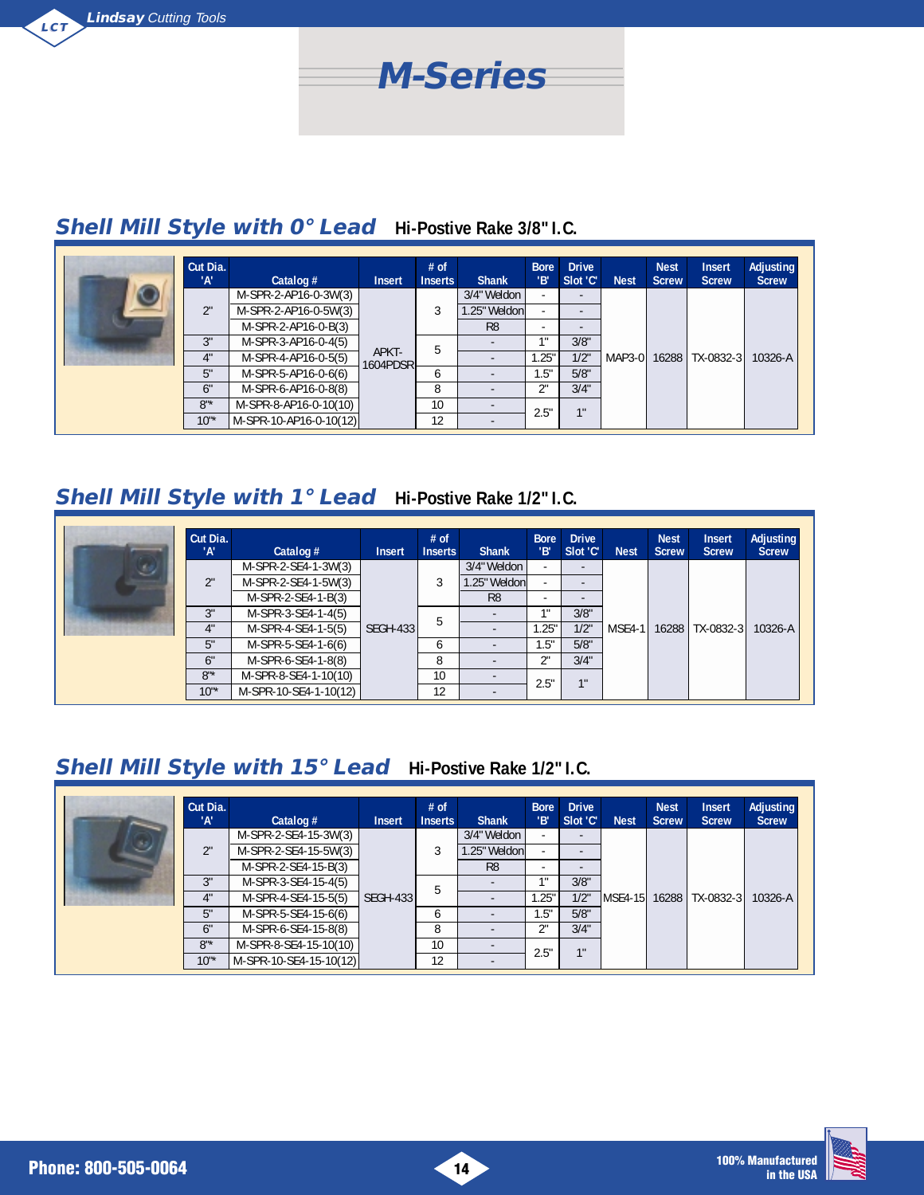

# **Shell Mill Style with 0° Lead Hi-Postive Rake 3/8" I.C.**

|  | Cut Dia.<br>'А' | Catalog $#$            | <b>Insert</b>     | $#$ of<br><b>Inserts</b> | <b>Shank</b>   | <b>Bore</b><br>'B' | <b>Drive</b><br>Slot 'C' | <b>Nest</b> | <b>Nest</b><br><b>Screw</b> | <b>Insert</b><br><b>Screw</b> | <b>Adjusting</b><br><b>Screw</b> |
|--|-----------------|------------------------|-------------------|--------------------------|----------------|--------------------|--------------------------|-------------|-----------------------------|-------------------------------|----------------------------------|
|  |                 | M-SPR-2-AP16-0-3W(3)   |                   |                          | 3/4" Weldon    | ٠                  |                          |             |                             | MAP3-0 16288 TX-0832-3        |                                  |
|  | 2"              | M-SPR-2-AP16-0-5W(3)   |                   |                          | 1.25" Weldonl  | ٠                  |                          |             |                             |                               | 10326-A                          |
|  |                 | M-SPR-2-AP16-0-B(3)    |                   |                          | R <sub>8</sub> |                    |                          |             |                             |                               |                                  |
|  | 3"              | M-SPR-3-AP16-0-4(5)    |                   | 5                        |                | 48                 | 3/8"                     |             |                             |                               |                                  |
|  | 4"              | M-SPR-4-AP16-0-5(5)    | APKT-<br>1604PDSR |                          |                | .25"               | 1/2"                     |             |                             |                               |                                  |
|  | 5"              | M-SPR-5-AP16-0-6(6)    |                   | <sub>6</sub>             |                | 1.5"               | 5/8"                     |             |                             |                               |                                  |
|  | 6"              | M-SPR-6-AP16-0-8(8)    |                   | 8                        |                | ገ                  | 3/4"                     |             |                             |                               |                                  |
|  | $8"$ *          | M-SPR-8-AP16-0-10(10)  |                   | 10                       |                | 2.5"               | 1 <sup>1</sup>           |             |                             |                               |                                  |
|  | $10^{1*}$       | M-SPR-10-AP16-0-10(12) |                   | 12                       |                |                    |                          |             |                             |                               |                                  |

# **Shell Mill Style with 1° Lead Hi-Postive Rake 1/2" I.C.**

| Cut Dia.<br>'А' | Catalog $#$           | <b>Insert</b>   | $#$ of<br><b>Inserts</b> | <b>Shank</b>   | <b>Bore</b><br>'В'       | <b>Drive</b><br>Slot 'C' | <b>Nest</b> | <b>Nest</b><br><b>Screw</b> | <b>Insert</b><br><b>Screw</b> | Adjusting<br><b>Screw</b> |
|-----------------|-----------------------|-----------------|--------------------------|----------------|--------------------------|--------------------------|-------------|-----------------------------|-------------------------------|---------------------------|
|                 | M-SPR-2-SE4-1-3W(3)   |                 |                          | 3/4" Weldon    | $\overline{\phantom{a}}$ | $\overline{\phantom{0}}$ |             |                             | MSE4-1   16288   TX-0832-3    |                           |
| 2"              | M-SPR-2-SE4-1-5W(3)   |                 | 5                        | 1.25" Weldonl  | $\overline{\phantom{a}}$ | $\overline{\phantom{a}}$ |             |                             |                               |                           |
|                 | $M-SPR-2-SE4-1-B(3)$  |                 |                          | R <sub>8</sub> | $\overline{\phantom{a}}$ | $\overline{\phantom{a}}$ |             |                             |                               |                           |
| 3"              | M-SPR-3-SE4-1-4(5)    |                 |                          |                | 1 .                      | 3/8"                     |             |                             |                               |                           |
| 4"              | M-SPR-4-SE4-1-5(5)    | <b>SEGH-433</b> |                          |                | .25"                     | 1/2"                     |             |                             |                               | 10326-A                   |
| 5"              | M-SPR-5-SE4-1-6(6)    |                 | <sub>6</sub>             |                | 1.5"                     | 5/8"                     |             |                             |                               |                           |
| 6"              | M-SPR-6-SE4-1-8(8)    |                 | 8                        |                | 2"                       | 3/4"                     |             |                             |                               |                           |
| $8"$ *          | M-SPR-8-SE4-1-10(10)  |                 | 10                       |                | 2.5"                     | 11                       |             |                             |                               |                           |
| $10^{1*}$       | M-SPR-10-SE4-1-10(12) |                 | 12                       |                |                          |                          |             |                             |                               |                           |

# **Shell Mill Style with 15° Lead Hi-Postive Rake 1/2" I.C.**

|  | Cut Dia.<br>'А' | Catalog $#$            | <b>Insert</b>   | $#$ of<br><b>Inserts</b> | <b>Shank</b>             | <b>Bore</b><br>'В'       | <b>Drive</b><br>Slot 'C' | <b>Nest</b> | <b>Nest</b><br><b>Screw</b> | <b>Insert</b><br><b>Screw</b> | Adjusting<br><b>Screw</b> |
|--|-----------------|------------------------|-----------------|--------------------------|--------------------------|--------------------------|--------------------------|-------------|-----------------------------|-------------------------------|---------------------------|
|  |                 | M-SPR-2-SE4-15-3W(3)   |                 | 5                        | 3/4" Weldon              | $\overline{\phantom{a}}$ | $\overline{\phantom{0}}$ |             |                             | MSE4-15 16288 TX-0832-3       |                           |
|  | 2"              | M-SPR-2-SE4-15-5W(3)   |                 |                          | .25" Weldon              | $\sim$                   |                          |             |                             |                               |                           |
|  |                 | M-SPR-2-SE4-15-B(3)    |                 |                          | R <sub>8</sub>           | $\overline{\phantom{0}}$ | -                        |             |                             |                               | 10326-A                   |
|  | 3"              | M-SPR-3-SE4-15-4(5)    |                 |                          |                          | 48                       | 3/8"                     |             |                             |                               |                           |
|  | 4"              | M-SPR-4-SE4-15-5(5)    | <b>SEGH-433</b> |                          |                          | 1.25"                    | 1/2"                     |             |                             |                               |                           |
|  | 5"              | M-SPR-5-SE4-15-6(6)    |                 | 6                        |                          | 1.5"                     | 5/8"                     |             |                             |                               |                           |
|  | 6"              | M-SPR-6-SE4-15-8(8)    |                 | 8                        |                          | ገ"                       | 3/4"                     |             |                             |                               |                           |
|  | $8"$ *          | M-SPR-8-SE4-15-10(10)  |                 | 10                       | $\overline{\phantom{a}}$ | 2.5"                     | 1"                       |             |                             |                               |                           |
|  | $10^{4*}$       | M-SPR-10-SE4-15-10(12) |                 | 12                       |                          |                          |                          |             |                             |                               |                           |

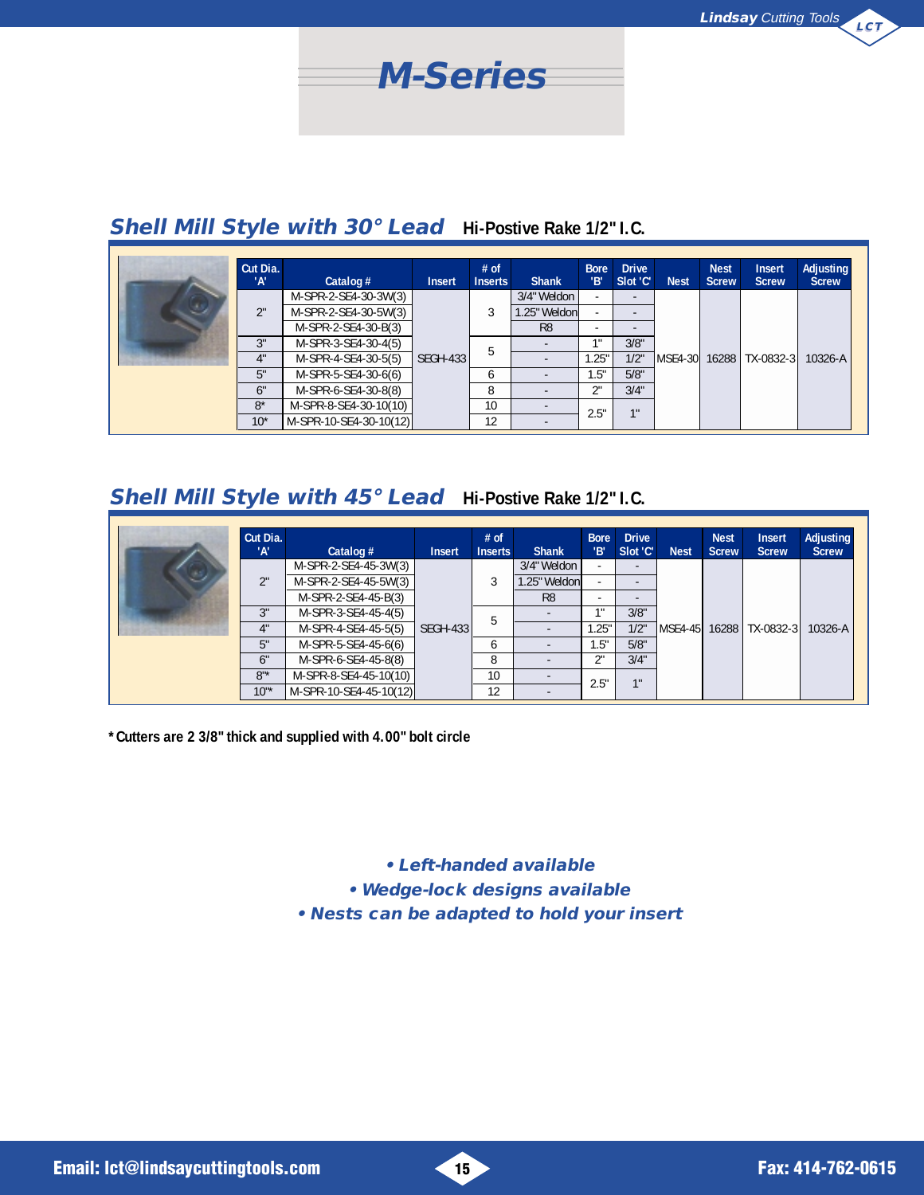

# **Shell Mill Style with 30° Lead Hi-Postive Rake 1/2" I.C.**

|  | Cut Dia.<br>'А' | Catalog $#$            | <b>Insert</b>   | $#$ of<br><b>Inserts</b> | <b>Shank</b>   | <b>Bore</b><br>'В'       | <b>Drive</b><br>Slot 'C' | <b>Nest</b> | <b>Nest</b><br><b>Screw</b> | <b>Insert</b><br><b>Screw</b> | Adjusting<br><b>Screw</b> |
|--|-----------------|------------------------|-----------------|--------------------------|----------------|--------------------------|--------------------------|-------------|-----------------------------|-------------------------------|---------------------------|
|  |                 | M-SPR-2-SE4-30-3W(3)   |                 |                          | 3/4" Weldon    | $\overline{\phantom{a}}$ | $\overline{\phantom{0}}$ |             |                             | IMSE4-30 16288 TX-0832-3      |                           |
|  | 2"              | M-SPR-2-SE4-30-5W(3)   | <b>SEGH-433</b> |                          | .25" Weldonl   | $\overline{\phantom{a}}$ |                          |             |                             |                               |                           |
|  |                 | M-SPR-2-SE4-30-B(3)    |                 |                          | R <sub>8</sub> | $\overline{\phantom{a}}$ |                          |             |                             |                               |                           |
|  | 3"              | M-SPR-3-SE4-30-4(5)    |                 | 5                        |                | -11                      | 3/8"                     |             |                             |                               |                           |
|  | 4"              | M-SPR-4-SE4-30-5(5)    |                 |                          |                | .25"                     | 1/2"                     |             |                             |                               | 10326-A                   |
|  | 5"              | M-SPR-5-SE4-30-6(6)    |                 | <sub>6</sub>             |                | .5"                      | 5/8"                     |             |                             |                               |                           |
|  | 6"              | M-SPR-6-SE4-30-8(8)    |                 | 8                        |                | 2"                       | 3/4"                     |             |                             |                               |                           |
|  | $8*$            | M-SPR-8-SE4-30-10(10)  |                 | 10                       |                | 2.5"                     | 1 <sup>1</sup>           |             |                             |                               |                           |
|  | $10*$           | M-SPR-10-SE4-30-10(12) |                 | 12                       |                |                          |                          |             |                             |                               |                           |

#### **Shell Mill Style with 45° Lead Hi-Postive Rake 1/2" I.C.**

| Cut Dia.<br>'Α' | Catalog $#$            | <b>Insert</b>   | $#$ of<br><b>Inserts</b> | <b>Shank</b>             | <b>Bore</b><br>'В'       | <b>Drive</b><br>Slot 'C' | <b>Nest</b> | <b>Nest</b><br><b>Screw</b> | <b>Insert</b><br><b>Screw</b> | Adjusting<br><b>Screw</b> |
|-----------------|------------------------|-----------------|--------------------------|--------------------------|--------------------------|--------------------------|-------------|-----------------------------|-------------------------------|---------------------------|
|                 | M-SPR-2-SE4-45-3W(3)   |                 | 5                        | 3/4" Weldon              | $\overline{\phantom{a}}$ | $\overline{\phantom{a}}$ |             |                             | IMSE4-45   16288   TX-0832-3  |                           |
| 2"              | M-SPR-2-SE4-45-5W(3)   |                 |                          | .25" Weldonl             | $\overline{\phantom{a}}$ |                          |             |                             |                               |                           |
|                 | M-SPR-2-SE4-45-B(3)    |                 |                          | R <sub>8</sub>           | $\overline{\phantom{a}}$ | $\overline{\phantom{a}}$ |             |                             |                               |                           |
| 3"              | M-SPR-3-SE4-45-4(5)    |                 |                          |                          | -11                      | 3/8"                     |             |                             |                               | 10326-A                   |
|                 | M-SPR-4-SE4-45-5(5)    | <b>SEGH-433</b> |                          |                          | .25"                     | 1/2"                     |             |                             |                               |                           |
| 5"              | M-SPR-5-SE4-45-6(6)    |                 | O                        |                          | 1.5"                     | 5/8"                     |             |                             |                               |                           |
| 6"              | M-SPR-6-SE4-45-8(8)    |                 | 8                        | $\overline{\phantom{0}}$ | 2"                       | 3/4"                     |             |                             |                               |                           |
| $8"$ *          | M-SPR-8-SE4-45-10(10)  |                 | 10                       | $\overline{\phantom{0}}$ |                          | 1 <sup>ii</sup>          |             |                             |                               |                           |
| $10^{1*}$       | M-SPR-10-SE4-45-10(12) |                 | 12                       |                          | 2.5"                     |                          |             |                             |                               |                           |

**\*Cutters are 2 3/8" thick and supplied with 4.00" bolt circle**

**• Left-handed available**

**• Wedge-lock designs available**

**• Nests can be adapted to hold your insert**